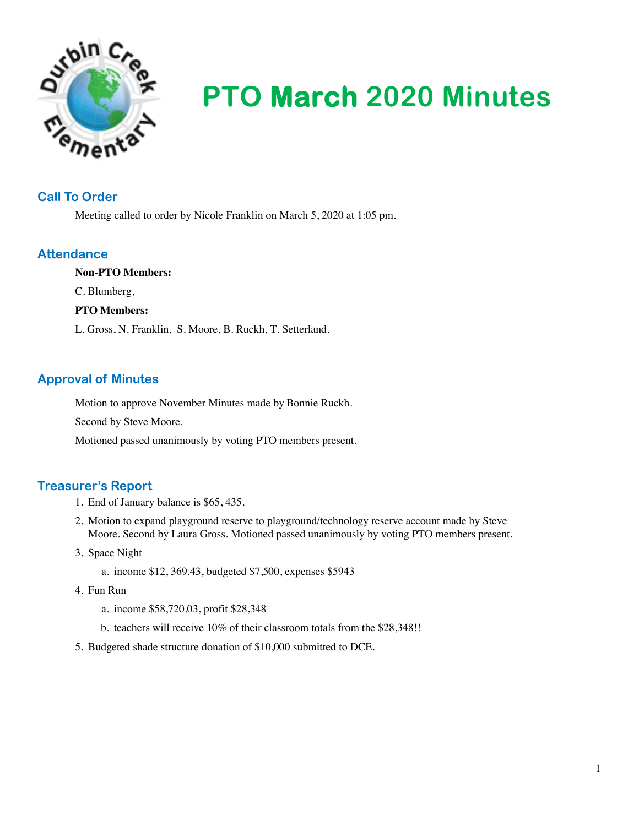

# **PTO March 2020 Minutes**

## **Call To Order**

Meeting called to order by Nicole Franklin on March 5, 2020 at 1:05 pm.

# **Attendance**

**Non-PTO Members:** C. Blumberg, **PTO Members:** L. Gross, N. Franklin, S. Moore, B. Ruckh, T. Setterland.

# **Approval of Minutes**

Motion to approve November Minutes made by Bonnie Ruckh.

Second by Steve Moore.

Motioned passed unanimously by voting PTO members present.

# **Treasurer's Report**

- 1. End of January balance is \$65, 435.
- 2. Motion to expand playground reserve to playground/technology reserve account made by Steve Moore. Second by Laura Gross. Motioned passed unanimously by voting PTO members present.
- 3. Space Night
	- a. income \$12, 369.43, budgeted \$7,500, expenses \$5943
- 4. Fun Run
	- a. income \$58,720.03, profit \$28,348
	- b. teachers will receive 10% of their classroom totals from the \$28,348!!
- 5. Budgeted shade structure donation of \$10,000 submitted to DCE.